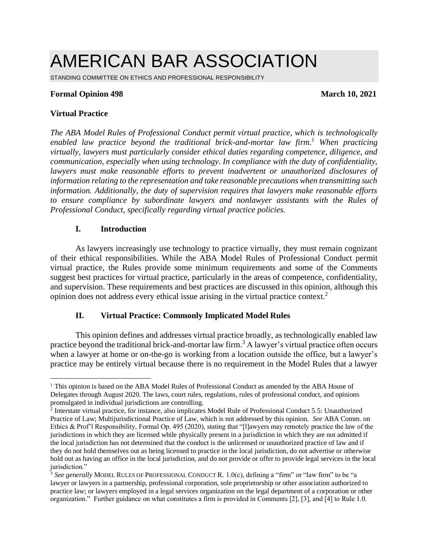# AMERICAN BAR ASSOCIATION

STANDING COMMITTEE ON ETHICS AND PROFESSIONAL RESPONSIBILITY

### **Formal Opinion 498** March 10, 2021

# **Virtual Practice**

*The ABA Model Rules of Professional Conduct permit virtual practice, which is technologically enabled law practice beyond the traditional brick-and-mortar law firm.<sup>1</sup> When practicing virtually, lawyers must particularly consider ethical duties regarding competence, diligence, and communication, especially when using technology. In compliance with the duty of confidentiality,*  lawyers must make reasonable efforts to prevent inadvertent or unauthorized disclosures of *information relating to the representation and take reasonable precautions when transmitting such information. Additionally, the duty of supervision requires that lawyers make reasonable efforts to ensure compliance by subordinate lawyers and nonlawyer assistants with the Rules of Professional Conduct, specifically regarding virtual practice policies.*

# **I. Introduction**

As lawyers increasingly use technology to practice virtually, they must remain cognizant of their ethical responsibilities. While the ABA Model Rules of Professional Conduct permit virtual practice, the Rules provide some minimum requirements and some of the Comments suggest best practices for virtual practice, particularly in the areas of competence, confidentiality, and supervision. These requirements and best practices are discussed in this opinion, although this opinion does not address every ethical issue arising in the virtual practice context. 2

# **II. Virtual Practice: Commonly Implicated Model Rules**

This opinion defines and addresses virtual practice broadly, as technologically enabled law practice beyond the traditional brick-and-mortar law firm.<sup>3</sup> A lawyer's virtual practice often occurs when a lawyer at home or on-the-go is working from a location outside the office, but a lawyer's practice may be entirely virtual because there is no requirement in the Model Rules that a lawyer

<sup>1</sup> This opinion is based on the ABA Model Rules of Professional Conduct as amended by the ABA House of Delegates through August 2020. The laws, court rules, regulations, rules of professional conduct, and opinions promulgated in individual jurisdictions are controlling.

<sup>&</sup>lt;sup>2</sup> Interstate virtual practice, for instance, also implicates Model Rule of Professional Conduct 5.5: Unauthorized Practice of Law; Multijurisdictional Practice of Law, which is not addressed by this opinion. *See* ABA Comm. on Ethics & Prof'l Responsibility, Formal Op. 495 (2020), stating that "[l]awyers may remotely practice the law of the jurisdictions in which they are licensed while physically present in a jurisdiction in which they are not admitted if the local jurisdiction has not determined that the conduct is the unlicensed or unauthorized practice of law and if they do not hold themselves out as being licensed to practice in the local jurisdiction, do not advertise or otherwise hold out as having an office in the local jurisdiction, and do not provide or offer to provide legal services in the local jurisdiction."

<sup>3</sup> *See generally* MODEL RULES OF PROFESSIONAL CONDUCT R. 1.0(c), defining a "firm" or "law firm" to be "a lawyer or lawyers in a partnership, professional corporation, sole proprietorship or other association authorized to practice law; or lawyers employed in a legal services organization on the legal department of a corporation or other organization." Further guidance on what constitutes a firm is provided in Comments [2], [3], and [4] to Rule 1.0.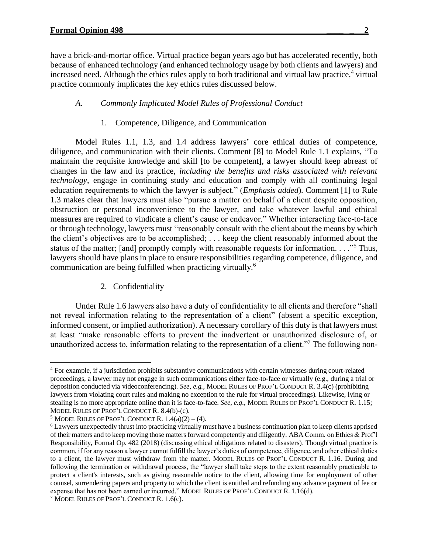have a brick-and-mortar office. Virtual practice began years ago but has accelerated recently, both because of enhanced technology (and enhanced technology usage by both clients and lawyers) and increased need. Although the ethics rules apply to both traditional and virtual law practice,<sup>4</sup> virtual practice commonly implicates the key ethics rules discussed below.

# *A. Commonly Implicated Model Rules of Professional Conduct*

1. Competence, Diligence, and Communication

Model Rules 1.1, 1.3, and 1.4 address lawyers' core ethical duties of competence, diligence, and communication with their clients. Comment [8] to Model Rule 1.1 explains, "To maintain the requisite knowledge and skill [to be competent], a lawyer should keep abreast of changes in the law and its practice, *including the benefits and risks associated with relevant technology*, engage in continuing study and education and comply with all continuing legal education requirements to which the lawyer is subject." (*Emphasis added*). Comment [1] to Rule 1.3 makes clear that lawyers must also "pursue a matter on behalf of a client despite opposition, obstruction or personal inconvenience to the lawyer, and take whatever lawful and ethical measures are required to vindicate a client's cause or endeavor." Whether interacting face-to-face or through technology, lawyers must "reasonably consult with the client about the means by which the client's objectives are to be accomplished; . . . keep the client reasonably informed about the status of the matter; [and] promptly comply with reasonable requests for information.  $\ldots$ <sup>5</sup>. Thus, lawyers should have plans in place to ensure responsibilities regarding competence, diligence, and communication are being fulfilled when practicing virtually.<sup>6</sup>

2. Confidentiality

Under Rule 1.6 lawyers also have a duty of confidentiality to all clients and therefore "shall not reveal information relating to the representation of a client" (absent a specific exception, informed consent, or implied authorization). A necessary corollary of this duty is that lawyers must at least "make reasonable efforts to prevent the inadvertent or unauthorized disclosure of, or unauthorized access to, information relating to the representation of a client."<sup>7</sup> The following non-

<sup>&</sup>lt;sup>4</sup> For example, if a jurisdiction prohibits substantive communications with certain witnesses during court-related proceedings, a lawyer may not engage in such communications either face-to-face or virtually (e.g., during a trial or deposition conducted via videoconferencing). *See, e.g.*, MODEL RULES OF PROF'L CONDUCT R. 3.4(c) (prohibiting lawyers from violating court rules and making no exception to the rule for virtual proceedings). Likewise, lying or stealing is no more appropriate online than it is face-to-face. *See, e.g.*, MODEL RULES OF PROF'L CONDUCT R. 1.15; MODEL RULES OF PROF'L CONDUCT R. 8.4(b)-(c).

<sup>&</sup>lt;sup>5</sup> MODEL RULES OF PROF'L CONDUCT R.  $1.4(a)(2) - (4)$ .

<sup>&</sup>lt;sup>6</sup> Lawyers unexpectedly thrust into practicing virtually must have a business continuation plan to keep clients apprised of their matters and to keep moving those matters forward competently and diligently. ABA Comm. on Ethics & Prof'l Responsibility, Formal Op. 482 (2018) (discussing ethical obligations related to disasters). Though virtual practice is common, if for any reason a lawyer cannot fulfill the lawyer's duties of competence, diligence, and other ethical duties to a client, the lawyer must withdraw from the matter. MODEL RULES OF PROF'L CONDUCT R. 1.16. During and following the termination or withdrawal process, the "lawyer shall take steps to the extent reasonably practicable to protect a client's interests, such as giving reasonable notice to the client, allowing time for employment of other counsel, surrendering papers and property to which the client is entitled and refunding any advance payment of fee or expense that has not been earned or incurred." MODEL RULES OF PROF'L CONDUCT R. 1.16(d).

<sup>7</sup> MODEL RULES OF PROF'L CONDUCT R. 1.6(c).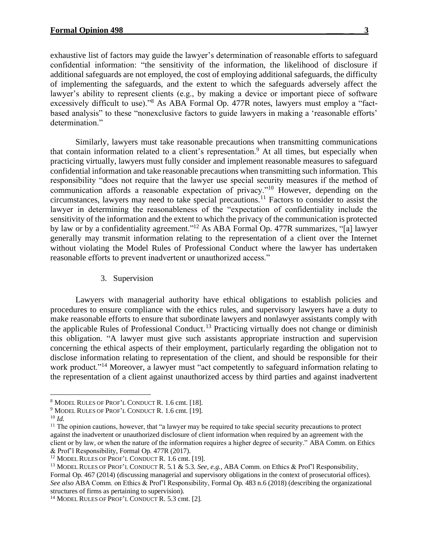exhaustive list of factors may guide the lawyer's determination of reasonable efforts to safeguard confidential information: "the sensitivity of the information, the likelihood of disclosure if additional safeguards are not employed, the cost of employing additional safeguards, the difficulty of implementing the safeguards, and the extent to which the safeguards adversely affect the lawyer's ability to represent clients (e.g., by making a device or important piece of software excessively difficult to use)."<sup>8</sup> As ABA Formal Op. 477R notes, lawyers must employ a "factbased analysis" to these "nonexclusive factors to guide lawyers in making a 'reasonable efforts' determination."

Similarly, lawyers must take reasonable precautions when transmitting communications that contain information related to a client's representation.<sup>9</sup> At all times, but especially when practicing virtually, lawyers must fully consider and implement reasonable measures to safeguard confidential information and take reasonable precautions when transmitting such information. This responsibility "does not require that the lawyer use special security measures if the method of communication affords a reasonable expectation of privacy."<sup>10</sup> However, depending on the circumstances, lawyers may need to take special precautions.<sup>11</sup> Factors to consider to assist the lawyer in determining the reasonableness of the "expectation of confidentiality include the sensitivity of the information and the extent to which the privacy of the communication is protected by law or by a confidentiality agreement."<sup>12</sup> As ABA Formal Op. 477R summarizes, "[a] lawyer generally may transmit information relating to the representation of a client over the Internet without violating the Model Rules of Professional Conduct where the lawyer has undertaken reasonable efforts to prevent inadvertent or unauthorized access."

3. Supervision

Lawyers with managerial authority have ethical obligations to establish policies and procedures to ensure compliance with the ethics rules, and supervisory lawyers have a duty to make reasonable efforts to ensure that subordinate lawyers and nonlawyer assistants comply with the applicable Rules of Professional Conduct.<sup>13</sup> Practicing virtually does not change or diminish this obligation. "A lawyer must give such assistants appropriate instruction and supervision concerning the ethical aspects of their employment, particularly regarding the obligation not to disclose information relating to representation of the client, and should be responsible for their work product."<sup>14</sup> Moreover, a lawyer must "act competently to safeguard information relating to the representation of a client against unauthorized access by third parties and against inadvertent

<sup>8</sup> MODEL RULES OF PROF'L CONDUCT R. 1.6 cmt. [18].

<sup>9</sup> MODEL RULES OF PROF'L CONDUCT R. 1.6 cmt. [19].

<sup>10</sup> *Id.*

 $11$  The opinion cautions, however, that "a lawyer may be required to take special security precautions to protect against the inadvertent or unauthorized disclosure of client information when required by an agreement with the client or by law, or when the nature of the information requires a higher degree of security." ABA Comm. on Ethics & Prof'l Responsibility, Formal Op. 477R (2017).

<sup>12</sup> MODEL RULES OF PROF'L CONDUCT R. 1.6 cmt. [19].

<sup>13</sup> MODEL RULES OF PROF'L CONDUCT R. 5.1 & 5.3. *See, e.g.*, ABA Comm. on Ethics & Prof'l Responsibility, Formal Op. 467 (2014) (discussing managerial and supervisory obligations in the context of prosecutorial offices). *See also* ABA Comm. on Ethics & Prof'l Responsibility, Formal Op. 483 n.6 (2018) (describing the organizational structures of firms as pertaining to supervision).

<sup>14</sup> MODEL RULES OF PROF'L CONDUCT R. 5.3 cmt. [2].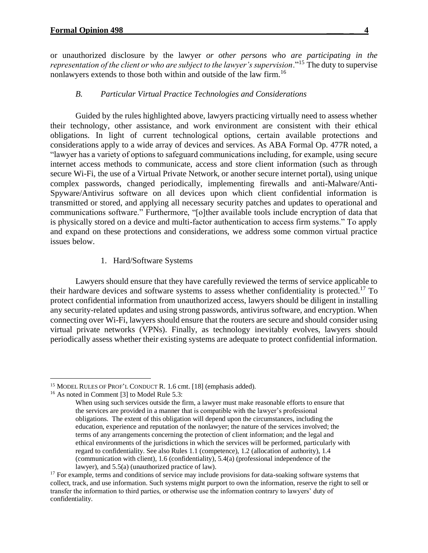or unauthorized disclosure by the lawyer *or other persons who are participating in the representation of the client or who are subject to the lawyer's supervision*."<sup>15</sup> The duty to supervise nonlawyers extends to those both within and outside of the law firm.<sup>16</sup>

### *B. Particular Virtual Practice Technologies and Considerations*

Guided by the rules highlighted above, lawyers practicing virtually need to assess whether their technology, other assistance, and work environment are consistent with their ethical obligations. In light of current technological options, certain available protections and considerations apply to a wide array of devices and services. As ABA Formal Op. 477R noted, a "lawyer has a variety of options to safeguard communications including, for example, using secure internet access methods to communicate, access and store client information (such as through secure Wi-Fi, the use of a Virtual Private Network, or another secure internet portal), using unique complex passwords, changed periodically, implementing firewalls and anti-Malware/Anti-Spyware/Antivirus software on all devices upon which client confidential information is transmitted or stored, and applying all necessary security patches and updates to operational and communications software." Furthermore, "[o]ther available tools include encryption of data that is physically stored on a device and multi-factor authentication to access firm systems." To apply and expand on these protections and considerations, we address some common virtual practice issues below.

### 1. Hard/Software Systems

Lawyers should ensure that they have carefully reviewed the terms of service applicable to their hardware devices and software systems to assess whether confidentiality is protected.<sup>17</sup> To protect confidential information from unauthorized access, lawyers should be diligent in installing any security-related updates and using strong passwords, antivirus software, and encryption. When connecting over Wi-Fi, lawyers should ensure that the routers are secure and should consider using virtual private networks (VPNs). Finally, as technology inevitably evolves, lawyers should periodically assess whether their existing systems are adequate to protect confidential information.

<sup>&</sup>lt;sup>15</sup> MODEL RULES OF PROF'L CONDUCT R. 1.6 cmt. [18] (emphasis added).

<sup>&</sup>lt;sup>16</sup> As noted in Comment [3] to Model Rule 5.3:

When using such services outside the firm, a lawyer must make reasonable efforts to ensure that the services are provided in a manner that is compatible with the lawyer's professional obligations. The extent of this obligation will depend upon the circumstances, including the education, experience and reputation of the nonlawyer; the nature of the services involved; the terms of any arrangements concerning the protection of client information; and the legal and ethical environments of the jurisdictions in which the services will be performed, particularly with regard to confidentiality. See also Rules 1.1 (competence), 1.2 (allocation of authority), 1.4 (communication with client), 1.6 (confidentiality), 5.4(a) (professional independence of the lawyer), and 5.5(a) (unauthorized practice of law).

<sup>&</sup>lt;sup>17</sup> For example, terms and conditions of service may include provisions for data-soaking software systems that collect, track, and use information. Such systems might purport to own the information, reserve the right to sell or transfer the information to third parties, or otherwise use the information contrary to lawyers' duty of confidentiality.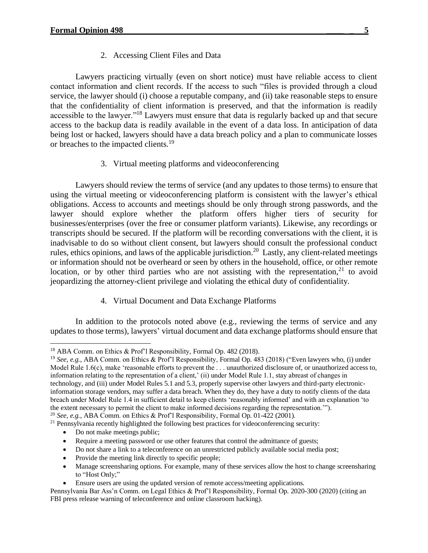## 2. Accessing Client Files and Data

Lawyers practicing virtually (even on short notice) must have reliable access to client contact information and client records. If the access to such "files is provided through a cloud service, the lawyer should (i) choose a reputable company, and (ii) take reasonable steps to ensure that the confidentiality of client information is preserved, and that the information is readily accessible to the lawyer."<sup>18</sup> Lawyers must ensure that data is regularly backed up and that secure access to the backup data is readily available in the event of a data loss. In anticipation of data being lost or hacked, lawyers should have a data breach policy and a plan to communicate losses or breaches to the impacted clients.<sup>19</sup>

### 3. Virtual meeting platforms and videoconferencing

Lawyers should review the terms of service (and any updates to those terms) to ensure that using the virtual meeting or videoconferencing platform is consistent with the lawyer's ethical obligations. Access to accounts and meetings should be only through strong passwords, and the lawyer should explore whether the platform offers higher tiers of security for businesses/enterprises (over the free or consumer platform variants). Likewise, any recordings or transcripts should be secured. If the platform will be recording conversations with the client, it is inadvisable to do so without client consent, but lawyers should consult the professional conduct rules, ethics opinions, and laws of the applicable jurisdiction.<sup>20</sup> Lastly, any client-related meetings or information should not be overheard or seen by others in the household, office, or other remote location, or by other third parties who are not assisting with the representation, $21$  to avoid jeopardizing the attorney-client privilege and violating the ethical duty of confidentiality.

4. Virtual Document and Data Exchange Platforms

In addition to the protocols noted above (e.g., reviewing the terms of service and any updates to those terms), lawyers' virtual document and data exchange platforms should ensure that

- Do not make meetings public;
- Require a meeting password or use other features that control the admittance of guests;
- Do not share a link to a teleconference on an unrestricted publicly available social media post;
- Provide the meeting link directly to specific people;
- Manage screensharing options. For example, many of these services allow the host to change screensharing to "Host Only;"
- Ensure users are using the updated version of remote access/meeting applications.

<sup>18</sup> ABA Comm. on Ethics & Prof'l Responsibility, Formal Op. 482 (2018).

<sup>19</sup> *See, e.g.*, ABA Comm. on Ethics & Prof'l Responsibility, Formal Op. 483 (2018) ("Even lawyers who, (i) under Model Rule 1.6(c), make 'reasonable efforts to prevent the ... unauthorized disclosure of, or unauthorized access to, information relating to the representation of a client,' (ii) under Model Rule 1.1, stay abreast of changes in technology, and (iii) under Model Rules 5.1 and 5.3, properly supervise other lawyers and third-party electronicinformation storage vendors, may suffer a data breach. When they do, they have a duty to notify clients of the data breach under Model Rule 1.4 in sufficient detail to keep clients 'reasonably informed' and with an explanation 'to the extent necessary to permit the client to make informed decisions regarding the representation.'"). <sup>20</sup> *See, e.g.*, ABA Comm. on Ethics & Prof'l Responsibility, Formal Op. 01-422 (2001).

<sup>&</sup>lt;sup>21</sup> Pennsylvania recently highlighted the following best practices for videoconferencing security:

Pennsylvania Bar Ass'n Comm. on Legal Ethics & Prof'l Responsibility, Formal Op. 2020-300 (2020) (citing an FBI press release warning of teleconference and online classroom hacking).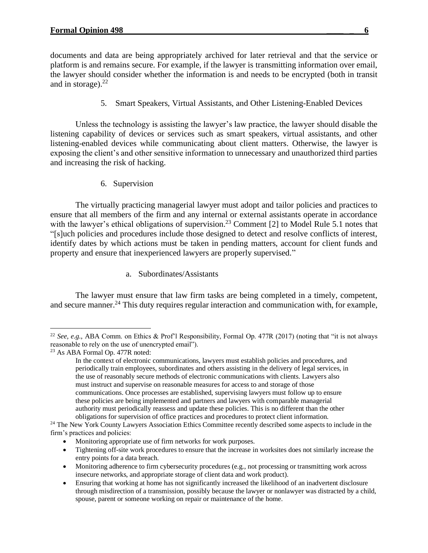documents and data are being appropriately archived for later retrieval and that the service or platform is and remains secure. For example, if the lawyer is transmitting information over email, the lawyer should consider whether the information is and needs to be encrypted (both in transit and in storage). $^{22}$ 

5. Smart Speakers, Virtual Assistants, and Other Listening-Enabled Devices

Unless the technology is assisting the lawyer's law practice, the lawyer should disable the listening capability of devices or services such as smart speakers, virtual assistants, and other listening-enabled devices while communicating about client matters. Otherwise, the lawyer is exposing the client's and other sensitive information to unnecessary and unauthorized third parties and increasing the risk of hacking.

6. Supervision

The virtually practicing managerial lawyer must adopt and tailor policies and practices to ensure that all members of the firm and any internal or external assistants operate in accordance with the lawyer's ethical obligations of supervision.<sup>23</sup> Comment [2] to Model Rule 5.1 notes that "[s]uch policies and procedures include those designed to detect and resolve conflicts of interest, identify dates by which actions must be taken in pending matters, account for client funds and property and ensure that inexperienced lawyers are properly supervised."

a. Subordinates/Assistants

The lawyer must ensure that law firm tasks are being completed in a timely, competent, and secure manner.<sup>24</sup> This duty requires regular interaction and communication with, for example,

<sup>22</sup> *See, e.g.*, ABA Comm. on Ethics & Prof'l Responsibility, Formal Op. 477R (2017) (noting that "it is not always reasonable to rely on the use of unencrypted email").

<sup>23</sup> As ABA Formal Op. 477R noted:

In the context of electronic communications, lawyers must establish policies and procedures, and periodically train employees, subordinates and others assisting in the delivery of legal services, in the use of reasonably secure methods of electronic communications with clients. Lawyers also must instruct and supervise on reasonable measures for access to and storage of those communications. Once processes are established, supervising lawyers must follow up to ensure these policies are being implemented and partners and lawyers with comparable managerial authority must periodically reassess and update these policies. This is no different than the other obligations for supervision of office practices and procedures to protect client information.

<sup>&</sup>lt;sup>24</sup> The New York County Lawyers Association Ethics Committee recently described some aspects to include in the firm's practices and policies:

<sup>•</sup> Monitoring appropriate use of firm networks for work purposes.

<sup>•</sup> Tightening off-site work procedures to ensure that the increase in worksites does not similarly increase the entry points for a data breach.

<sup>•</sup> Monitoring adherence to firm cybersecurity procedures (e.g., not processing or transmitting work across insecure networks, and appropriate storage of client data and work product).

<sup>•</sup> Ensuring that working at home has not significantly increased the likelihood of an inadvertent disclosure through misdirection of a transmission, possibly because the lawyer or nonlawyer was distracted by a child, spouse, parent or someone working on repair or maintenance of the home.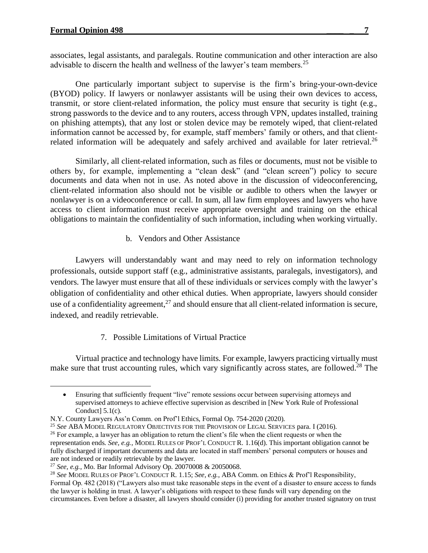associates, legal assistants, and paralegals. Routine communication and other interaction are also advisable to discern the health and wellness of the lawyer's team members.<sup>25</sup>

One particularly important subject to supervise is the firm's bring-your-own-device (BYOD) policy. If lawyers or nonlawyer assistants will be using their own devices to access, transmit, or store client-related information, the policy must ensure that security is tight (e.g., strong passwords to the device and to any routers, access through VPN, updates installed, training on phishing attempts), that any lost or stolen device may be remotely wiped, that client-related information cannot be accessed by, for example, staff members' family or others, and that clientrelated information will be adequately and safely archived and available for later retrieval.<sup>26</sup>

Similarly, all client-related information, such as files or documents, must not be visible to others by, for example, implementing a "clean desk" (and "clean screen") policy to secure documents and data when not in use. As noted above in the discussion of videoconferencing, client-related information also should not be visible or audible to others when the lawyer or nonlawyer is on a videoconference or call. In sum, all law firm employees and lawyers who have access to client information must receive appropriate oversight and training on the ethical obligations to maintain the confidentiality of such information, including when working virtually.

#### b. Vendors and Other Assistance

Lawyers will understandably want and may need to rely on information technology professionals*,* outside support staff (e.g., administrative assistants, paralegals, investigators), and vendors. The lawyer must ensure that all of these individuals or services comply with the lawyer's obligation of confidentiality and other ethical duties. When appropriate, lawyers should consider use of a confidentiality agreement,  $27$  and should ensure that all client-related information is secure, indexed, and readily retrievable.

#### 7. Possible Limitations of Virtual Practice

Virtual practice and technology have limits. For example, lawyers practicing virtually must make sure that trust accounting rules, which vary significantly across states, are followed.<sup>28</sup> The

<sup>•</sup> Ensuring that sufficiently frequent "live" remote sessions occur between supervising attorneys and supervised attorneys to achieve effective supervision as described in [New York Rule of Professional Conduct] 5.1(c).

N.Y. County Lawyers Ass'n Comm. on Prof'l Ethics, Formal Op. 754-2020 (2020).

<sup>25</sup> *See* ABA MODEL REGULATORY OBJECTIVES FOR THE PROVISION OF LEGAL SERVICES para. I (2016).

<sup>&</sup>lt;sup>26</sup> For example, a lawyer has an obligation to return the client's file when the client requests or when the representation ends. *See, e.g.*, MODEL RULES OF PROF'L CONDUCT R. 1.16(d). This important obligation cannot be fully discharged if important documents and data are located in staff members' personal computers or houses and are not indexed or readily retrievable by the lawyer.

<sup>27</sup> *See, e.g.*, Mo. Bar Informal Advisory Op. 20070008 & 20050068.

<sup>28</sup> *See* MODEL RULES OF PROF'L CONDUCT R. 1.15; *See, e.g.*, ABA Comm. on Ethics & Prof'l Responsibility, Formal Op. 482 (2018) ("Lawyers also must take reasonable steps in the event of a disaster to ensure access to funds the lawyer is holding in trust. A lawyer's obligations with respect to these funds will vary depending on the circumstances. Even before a disaster, all lawyers should consider (i) providing for another trusted signatory on trust